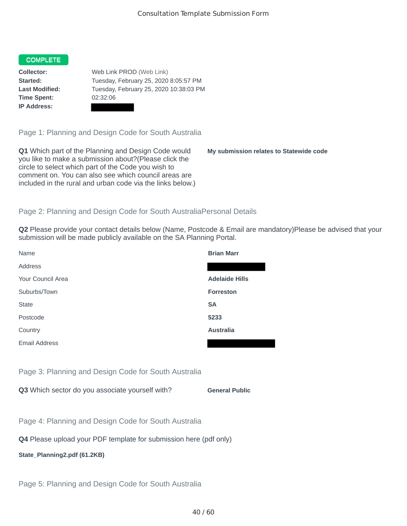## **COMPLETE**

**Time Spent:** 02:32:06 **IP Address:**

**Collector:** Web Link PROD (Web Link) **Started:** Tuesday, February 25, 2020 8:05:57 PM **Last Modified:** Tuesday, February 25, 2020 10:38:03 PM

Page 1: Planning and Design Code for South Australia

**Q1** Which part of the Planning and Design Code would you like to make a submission about?(Please click the circle to select which part of the Code you wish to comment on. You can also see which council areas are included in the rural and urban code via the links below.)

**My submission relates to Statewide code**

## Page 2: Planning and Design Code for South AustraliaPersonal Details

**Q2** Please provide your contact details below (Name, Postcode & Email are mandatory)Please be advised that your submission will be made publicly available on the SA Planning Portal.

| Name                 | <b>Brian Marr</b>     |
|----------------------|-----------------------|
| <b>Address</b>       |                       |
| Your Council Area    | <b>Adelaide Hills</b> |
| Suburbs/Town         | <b>Forreston</b>      |
| <b>State</b>         | <b>SA</b>             |
| Postcode             | 5233                  |
| Country              | <b>Australia</b>      |
| <b>Email Address</b> |                       |
|                      |                       |

Page 3: Planning and Design Code for South Australia

**Q3** Which sector do you associate yourself with? **General Public** 

Page 4: Planning and Design Code for South Australia

**Q4** Please upload your PDF template for submission here (pdf only)

**State\_Planning2.pdf (61.2KB)**

Page 5: Planning and Design Code for South Australia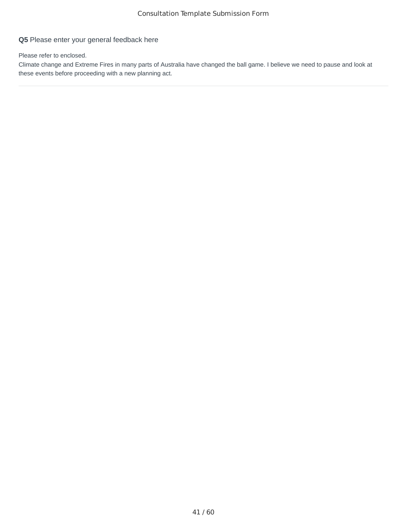## **Q5** Please enter your general feedback here

Please refer to enclosed.

Climate change and Extreme Fires in many parts of Australia have changed the ball game. I believe we need to pause and look at these events before proceeding with a new planning act.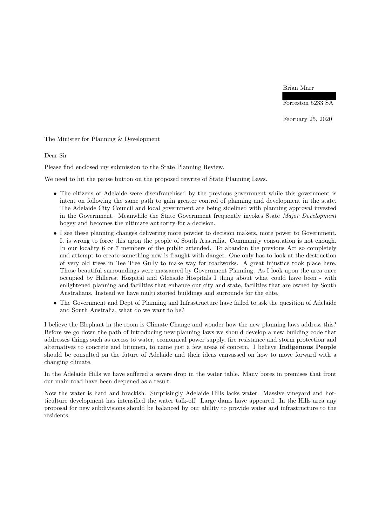Brian Marr

Forreston 5233 SA

February 25, 2020

The Minister for Planning & Development

Dear Sir

Please find enclosed my submission to the State Planning Review.

We need to hit the pause button on the proposed rewrite of State Planning Laws.

- The citizens of Adelaide were disenfranchised by the previous government while this government is intent on following the same path to gain greater control of planning and development in the state. The Adelaide City Council and local government are being sidelined with planning approval invested in the Government. Meanwhile the State Government frequently invokes State Major Development bogey and becomes the ultimate authority for a decision.
- I see these planning changes delivering more powder to decision makers, more power to Government. It is wrong to force this upon the people of South Australia. Community consutation is not enough. In our locality 6 or 7 members of the public attended. To abandon the previous Act so completely and attempt to create something new is fraught with danger. One only has to look at the destruction of very old trees in Tee Tree Gully to make way for roadworks. A great injustice took place here. These beautiful surroundings were massacred by Government Planning. As I look upon the area once occupied by Hillcrest Hospital and Glenside Hospitals I thing about what could have been - with enlightened planning and facilities that enhance our city and state, facilities that are owned by South Australians. Instead we have multi storied buildings and surrounds for the elite.
- The Government and Dept of Planning and Infrastructure have failed to ask the quesition of Adelaide and South Australia, what do we want to be?

I believe the Elephant in the room is Climate Change and wonder how the new planning laws address this? Before we go down the path of introducing new planning laws we should develop a new building code that addresses things such as access to water, economical power supply, fire resistance and storm protection and alternatives to concrete and bitumen, to name just a few areas of concern. I believe Indigenous People should be consulted on the future of Adelaide and their ideas canvassed on how to move forward with a changing climate.

In the Adelaide Hills we have suffered a severe drop in the water table. Many bores in premises that front our main road have been deepened as a result.

Now the water is hard and brackish. Surprisingly Adelaide Hills lacks water. Massive vineyard and horticulture development has intensified the water talk-off. Large dams have appeared. In the Hills area any proposal for new subdivisions should be balanced by our ability to provide water and infrastructure to the residents.